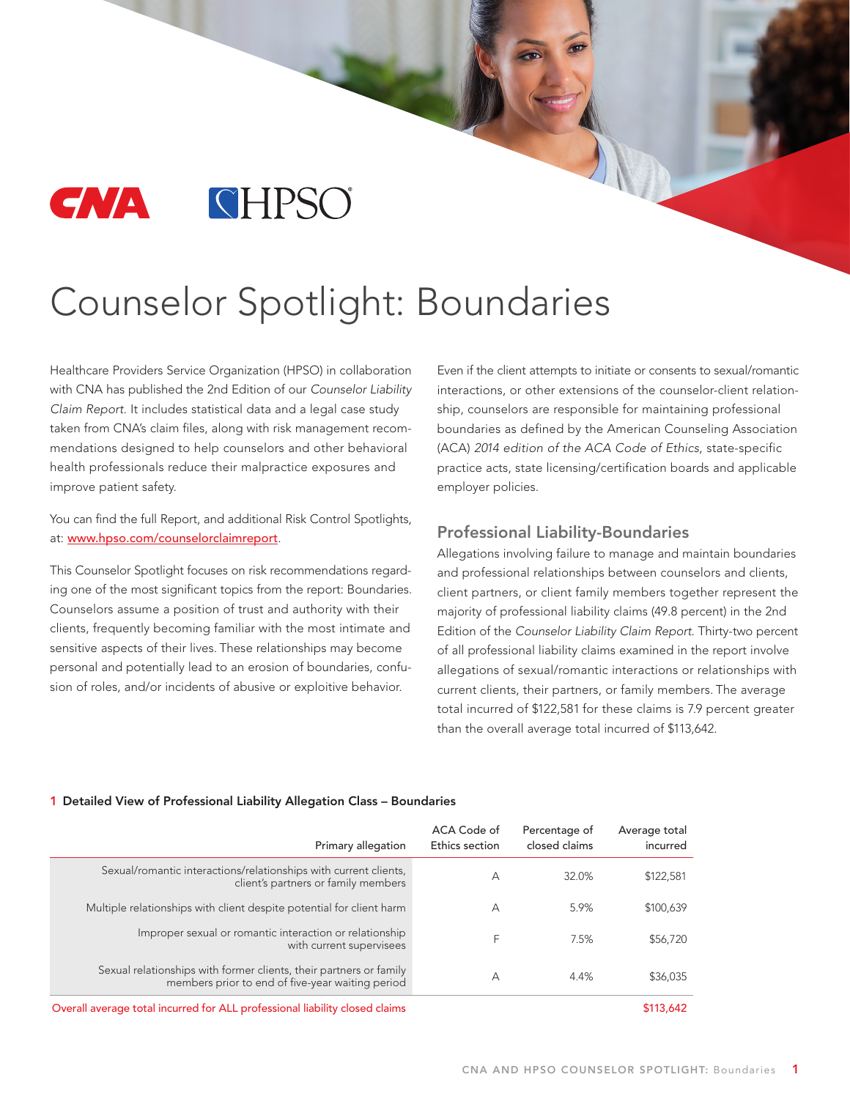

# Counselor Spotlight: Boundaries

Healthcare Providers Service Organization (HPSO) in collaboration with CNA has published the 2nd Edition of our Counselor Liability Claim Report. It includes statistical data and a legal case study taken from CNA's claim files, along with risk management recommendations designed to help counselors and other behavioral health professionals reduce their malpractice exposures and improve patient safety.

You can find the full Report, and additional Risk Control Spotlights, at: [www.hpso.com/counselorclaimreport](http://www.hpso.com/counselorclaimreport).

This Counselor Spotlight focuses on risk recommendations regarding one of the most significant topics from the report: Boundaries. Counselors assume a position of trust and authority with their clients, frequently becoming familiar with the most intimate and sensitive aspects of their lives. These relationships may become personal and potentially lead to an erosion of boundaries, confusion of roles, and/or incidents of abusive or exploitive behavior.

Even if the client attempts to initiate or consents to sexual/romantic interactions, or other extensions of the counselor-client relationship, counselors are responsible for maintaining professional boundaries as defined by the American Counseling Association (ACA) 2014 edition of the ACA Code of Ethics, state-specific practice acts, state licensing/certification boards and applicable employer policies.

## Professional Liability-Boundaries

Allegations involving failure to manage and maintain boundaries and professional relationships between counselors and clients, client partners, or client family members together represent the majority of professional liability claims (49.8 percent) in the 2nd Edition of the Counselor Liability Claim Report. Thirty-two percent of all professional liability claims examined in the report involve allegations of sexual/romantic interactions or relationships with current clients, their partners, or family members. The average total incurred of \$122,581 for these claims is 7.9 percent greater than the overall average total incurred of \$113,642.

| Primary allegation                                                                                                     | ACA Code of<br>Ethics section | Percentage of<br>closed claims | Average total<br>incurred |
|------------------------------------------------------------------------------------------------------------------------|-------------------------------|--------------------------------|---------------------------|
| Sexual/romantic interactions/relationships with current clients,<br>client's partners or family members                | А                             | 32.0%                          | \$122,581                 |
| Multiple relationships with client despite potential for client harm                                                   | А                             | 5.9%                           | \$100,639                 |
| Improper sexual or romantic interaction or relationship<br>with current supervisees                                    | F                             | 7.5%                           | \$56,720                  |
| Sexual relationships with former clients, their partners or family<br>members prior to end of five-year waiting period | А                             | 4.4%                           | \$36,035                  |
| Overall average total incurred for ALL professional liability closed claims                                            |                               |                                | \$113,642                 |

#### 1 Detailed View of Professional Liability Allegation Class – Boundaries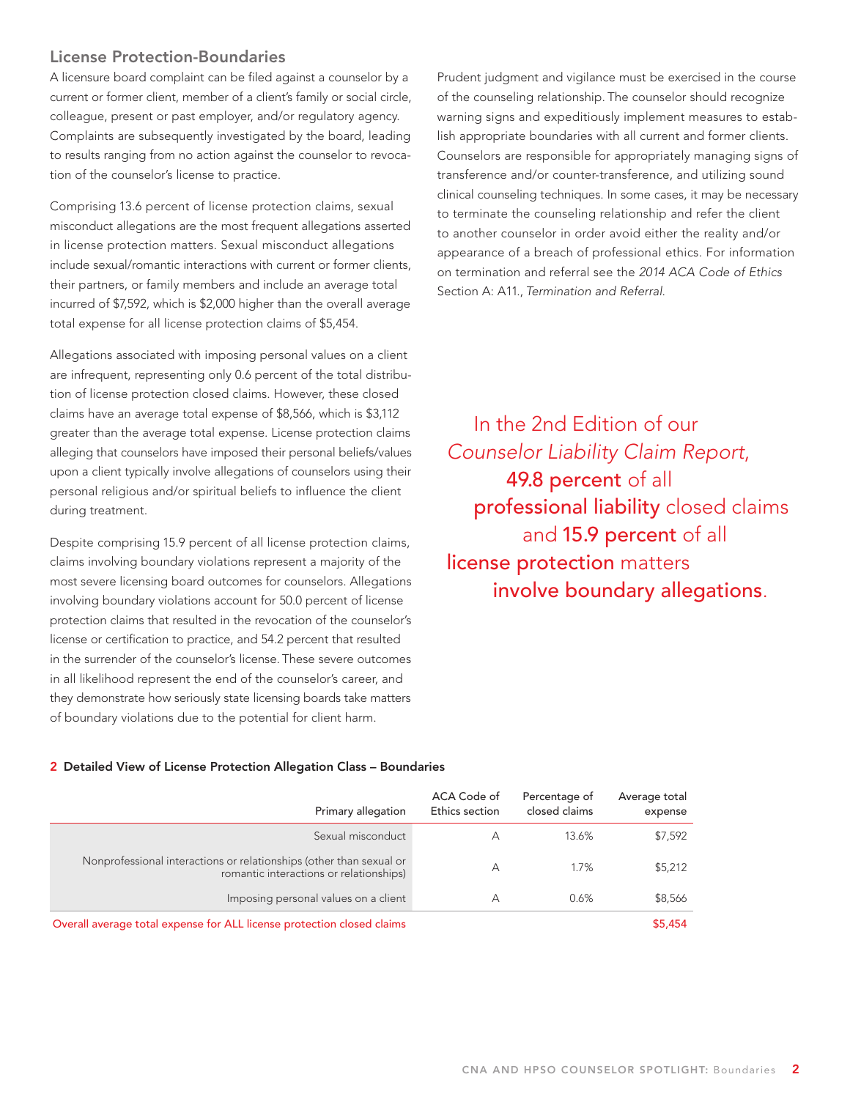## License Protection-Boundaries

A licensure board complaint can be filed against a counselor by a current or former client, member of a client's family or social circle, colleague, present or past employer, and/or regulatory agency. Complaints are subsequently investigated by the board, leading to results ranging from no action against the counselor to revocation of the counselor's license to practice.

Comprising 13.6 percent of license protection claims, sexual misconduct allegations are the most frequent allegations asserted in license protection matters. Sexual misconduct allegations include sexual/romantic interactions with current or former clients, their partners, or family members and include an average total incurred of \$7,592, which is \$2,000 higher than the overall average total expense for all license protection claims of \$5,454.

Allegations associated with imposing personal values on a client are infrequent, representing only 0.6 percent of the total distribution of license protection closed claims. However, these closed claims have an average total expense of \$8,566, which is \$3,112 greater than the average total expense. License protection claims alleging that counselors have imposed their personal beliefs/values upon a client typically involve allegations of counselors using their personal religious and/or spiritual beliefs to influence the client during treatment.

Despite comprising 15.9 percent of all license protection claims, claims involving boundary violations represent a majority of the most severe licensing board outcomes for counselors. Allegations involving boundary violations account for 50.0 percent of license protection claims that resulted in the revocation of the counselor's license or certification to practice, and 54.2 percent that resulted in the surrender of the counselor's license. These severe outcomes in all likelihood represent the end of the counselor's career, and they demonstrate how seriously state licensing boards take matters of boundary violations due to the potential for client harm.

Prudent judgment and vigilance must be exercised in the course of the counseling relationship. The counselor should recognize warning signs and expeditiously implement measures to establish appropriate boundaries with all current and former clients. Counselors are responsible for appropriately managing signs of transference and/or counter-transference, and utilizing sound clinical counseling techniques. In some cases, it may be necessary to terminate the counseling relationship and refer the client to another counselor in order avoid either the reality and/or appearance of a breach of professional ethics. For information on termination and referral see the 2014 ACA Code of Ethics Section A: A11., Termination and Referral.

 In the 2nd Edition of our Counselor Liability Claim Report, 49.8 percent of all professional liability closed claims and 15.9 percent of all license protection matters involve boundary allegations.

#### 2 Detailed View of License Protection Allegation Class – Boundaries

| Average total<br>expense | Percentage of<br>closed claims | ACA Code of<br>Ethics section | Primary allegation                                                                                             |
|--------------------------|--------------------------------|-------------------------------|----------------------------------------------------------------------------------------------------------------|
| \$7,592                  | 13.6%                          | А                             | Sexual misconduct                                                                                              |
| \$5,212                  | 1.7%                           | А                             | Nonprofessional interactions or relationships (other than sexual or<br>romantic interactions or relationships) |
| \$8,566                  | 0.6%                           | А                             | Imposing personal values on a client                                                                           |
| \$5,454                  |                                |                               | Overall average total expense for ALL license protection closed claims                                         |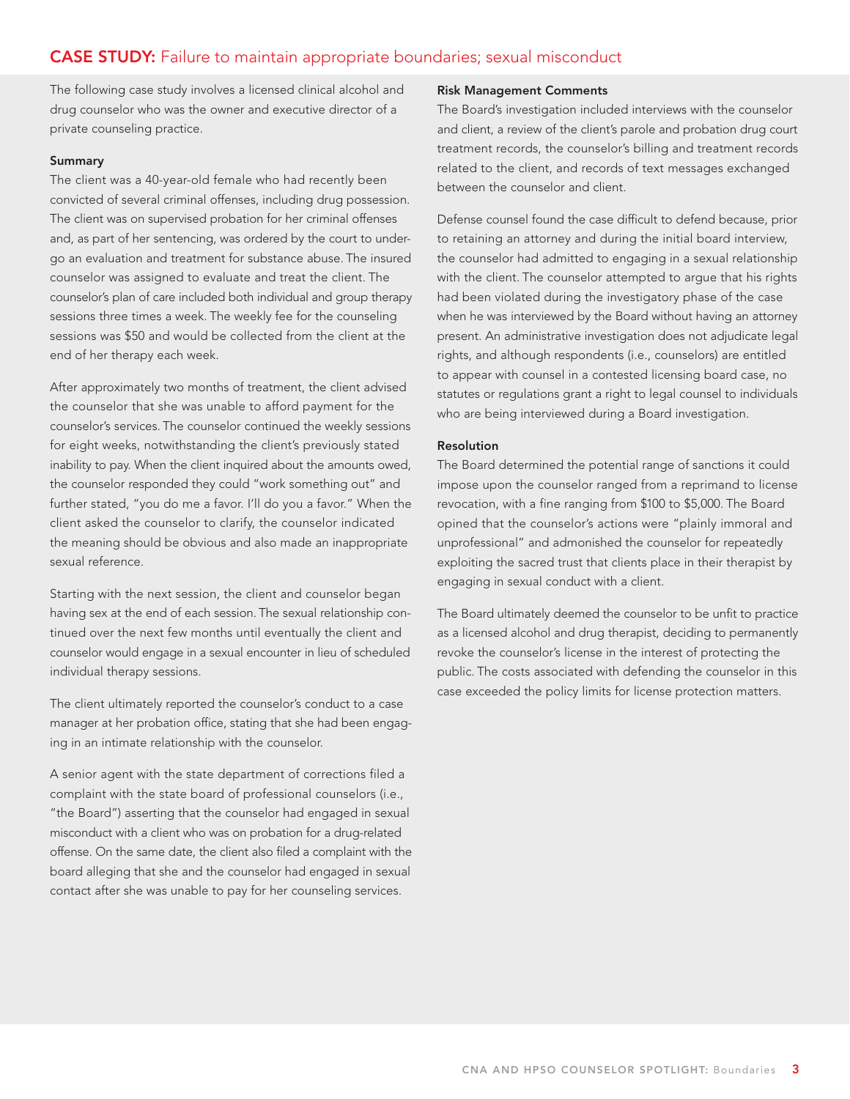# CASE STUDY: Failure to maintain appropriate boundaries; sexual misconduct

The following case study involves a licensed clinical alcohol and drug counselor who was the owner and executive director of a private counseling practice.

#### Summary

The client was a 40-year-old female who had recently been convicted of several criminal offenses, including drug possession. The client was on supervised probation for her criminal offenses and, as part of her sentencing, was ordered by the court to undergo an evaluation and treatment for substance abuse. The insured counselor was assigned to evaluate and treat the client. The counselor's plan of care included both individual and group therapy sessions three times a week. The weekly fee for the counseling sessions was \$50 and would be collected from the client at the end of her therapy each week.

After approximately two months of treatment, the client advised the counselor that she was unable to afford payment for the counselor's services. The counselor continued the weekly sessions for eight weeks, notwithstanding the client's previously stated inability to pay. When the client inquired about the amounts owed, the counselor responded they could "work something out" and further stated, "you do me a favor. I'll do you a favor." When the client asked the counselor to clarify, the counselor indicated the meaning should be obvious and also made an inappropriate sexual reference.

Starting with the next session, the client and counselor began having sex at the end of each session. The sexual relationship continued over the next few months until eventually the client and counselor would engage in a sexual encounter in lieu of scheduled individual therapy sessions.

The client ultimately reported the counselor's conduct to a case manager at her probation office, stating that she had been engaging in an intimate relationship with the counselor.

A senior agent with the state department of corrections filed a complaint with the state board of professional counselors (i.e., "the Board") asserting that the counselor had engaged in sexual misconduct with a client who was on probation for a drug-related offense. On the same date, the client also filed a complaint with the board alleging that she and the counselor had engaged in sexual contact after she was unable to pay for her counseling services.

#### Risk Management Comments

The Board's investigation included interviews with the counselor and client, a review of the client's parole and probation drug court treatment records, the counselor's billing and treatment records related to the client, and records of text messages exchanged between the counselor and client.

Defense counsel found the case difficult to defend because, prior to retaining an attorney and during the initial board interview, the counselor had admitted to engaging in a sexual relationship with the client. The counselor attempted to argue that his rights had been violated during the investigatory phase of the case when he was interviewed by the Board without having an attorney present. An administrative investigation does not adjudicate legal rights, and although respondents (i.e., counselors) are entitled to appear with counsel in a contested licensing board case, no statutes or regulations grant a right to legal counsel to individuals who are being interviewed during a Board investigation.

#### Resolution

The Board determined the potential range of sanctions it could impose upon the counselor ranged from a reprimand to license revocation, with a fine ranging from \$100 to \$5,000. The Board opined that the counselor's actions were "plainly immoral and unprofessional" and admonished the counselor for repeatedly exploiting the sacred trust that clients place in their therapist by engaging in sexual conduct with a client.

The Board ultimately deemed the counselor to be unfit to practice as a licensed alcohol and drug therapist, deciding to permanently revoke the counselor's license in the interest of protecting the public. The costs associated with defending the counselor in this case exceeded the policy limits for license protection matters.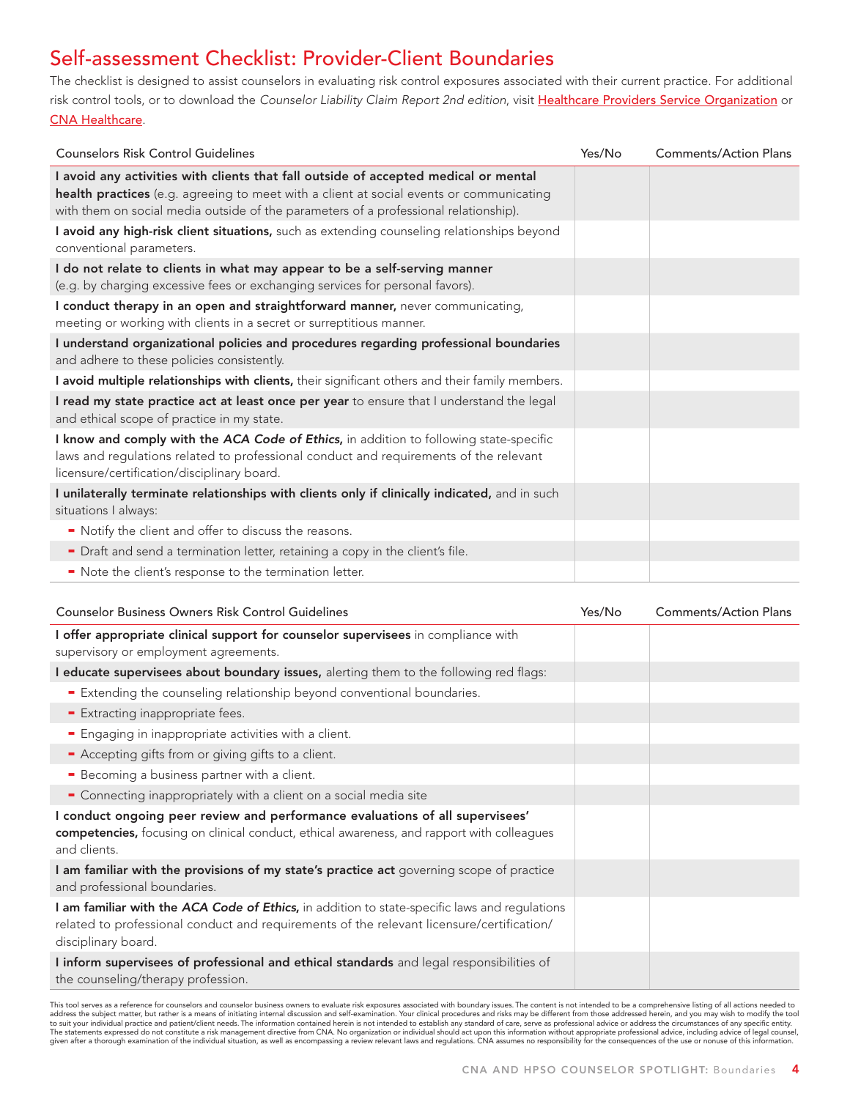# Self-assessment Checklist: Provider-Client Boundaries

The checklist is designed to assist counselors in evaluating risk control exposures associated with their current practice. For additional risk control tools, or to download the Counselor Liability Claim Report 2nd edition, visit [Healthcare Providers Service Organization](http://www.hpso.com/) or [CNA Healthcare](http://www.cna.com/).

| <b>Counselors Risk Control Guidelines</b>                                                                                                                                                                                                                              | Yes/No | <b>Comments/Action Plans</b> |
|------------------------------------------------------------------------------------------------------------------------------------------------------------------------------------------------------------------------------------------------------------------------|--------|------------------------------|
| I avoid any activities with clients that fall outside of accepted medical or mental<br>health practices (e.g. agreeing to meet with a client at social events or communicating<br>with them on social media outside of the parameters of a professional relationship). |        |                              |
| I avoid any high-risk client situations, such as extending counseling relationships beyond<br>conventional parameters.                                                                                                                                                 |        |                              |
| I do not relate to clients in what may appear to be a self-serving manner<br>(e.g. by charging excessive fees or exchanging services for personal favors).                                                                                                             |        |                              |
| I conduct therapy in an open and straightforward manner, never communicating,<br>meeting or working with clients in a secret or surreptitious manner.                                                                                                                  |        |                              |
| I understand organizational policies and procedures regarding professional boundaries<br>and adhere to these policies consistently.                                                                                                                                    |        |                              |
| I avoid multiple relationships with clients, their significant others and their family members.                                                                                                                                                                        |        |                              |
| I read my state practice act at least once per year to ensure that I understand the legal<br>and ethical scope of practice in my state.                                                                                                                                |        |                              |
| I know and comply with the ACA Code of Ethics, in addition to following state-specific<br>laws and regulations related to professional conduct and requirements of the relevant<br>licensure/certification/disciplinary board.                                         |        |                              |
| I unilaterally terminate relationships with clients only if clinically indicated, and in such<br>situations I always:                                                                                                                                                  |        |                              |
| • Notify the client and offer to discuss the reasons.                                                                                                                                                                                                                  |        |                              |
| - Draft and send a termination letter, retaining a copy in the client's file.                                                                                                                                                                                          |        |                              |
| - Note the client's response to the termination letter.                                                                                                                                                                                                                |        |                              |

| <b>Counselor Business Owners Risk Control Guidelines</b>                                                                                                                                                          | Yes/No | <b>Comments/Action Plans</b> |
|-------------------------------------------------------------------------------------------------------------------------------------------------------------------------------------------------------------------|--------|------------------------------|
| I offer appropriate clinical support for counselor supervisees in compliance with<br>supervisory or employment agreements.                                                                                        |        |                              |
| I educate supervisees about boundary issues, alerting them to the following red flags:                                                                                                                            |        |                              |
| <b>Extending the counseling relationship beyond conventional boundaries.</b>                                                                                                                                      |        |                              |
| - Extracting inappropriate fees.                                                                                                                                                                                  |        |                              |
| - Engaging in inappropriate activities with a client.                                                                                                                                                             |        |                              |
| - Accepting gifts from or giving gifts to a client.                                                                                                                                                               |        |                              |
| - Becoming a business partner with a client.                                                                                                                                                                      |        |                              |
| • Connecting inappropriately with a client on a social media site                                                                                                                                                 |        |                              |
| I conduct ongoing peer review and performance evaluations of all supervisees'<br>competencies, focusing on clinical conduct, ethical awareness, and rapport with colleagues<br>and clients.                       |        |                              |
| I am familiar with the provisions of my state's practice act governing scope of practice<br>and professional boundaries.                                                                                          |        |                              |
| I am familiar with the ACA Code of Ethics, in addition to state-specific laws and regulations<br>related to professional conduct and requirements of the relevant licensure/certification/<br>disciplinary board. |        |                              |
| I inform supervisees of professional and ethical standards and legal responsibilities of<br>the counseling/therapy profession.                                                                                    |        |                              |

This tool serves as a reference for counselors and counselor business owners to evaluate risk exposures associated with boundary issues. The content is not intended to be a comprehensive listing of all actions needed to address the subject matter, but rather is a means of initiating internal discussion and self-examination. Your clinical procedures and risks may be different from those addressed herein, and you may wish to modify the tool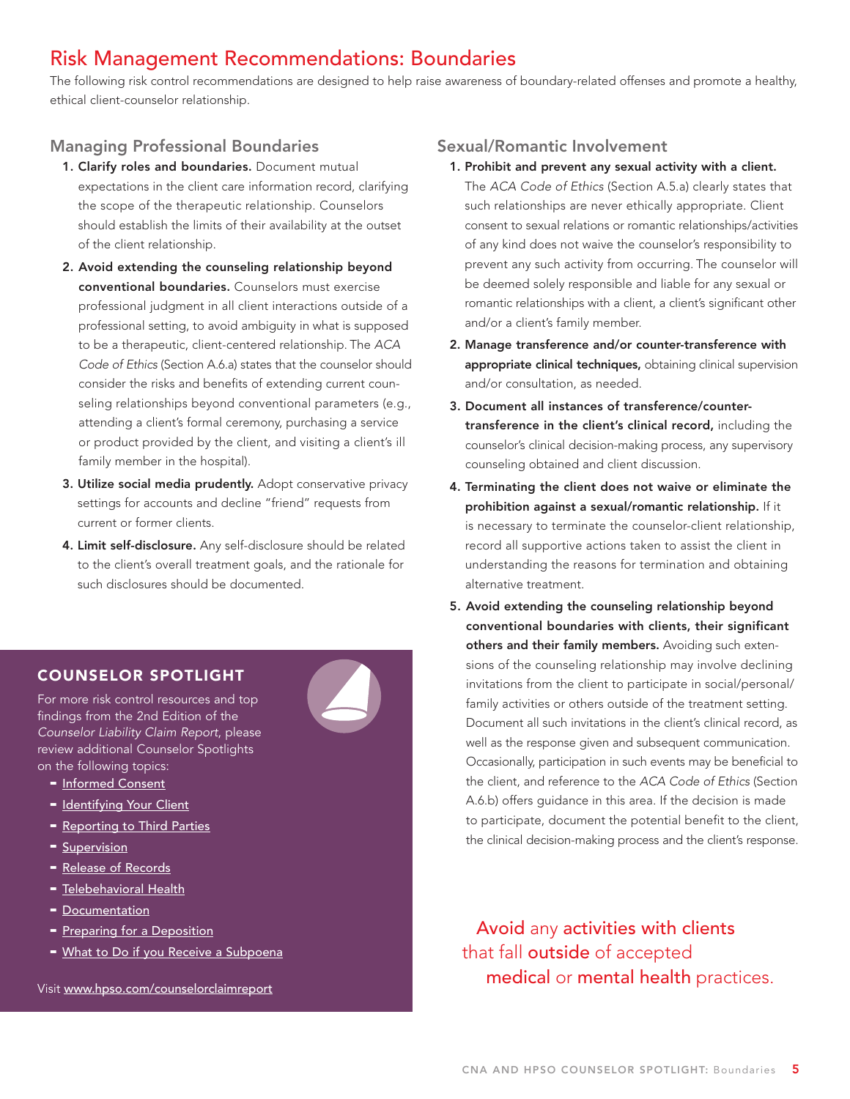# Risk Management Recommendations: Boundaries

The following risk control recommendations are designed to help raise awareness of boundary-related offenses and promote a healthy, ethical client-counselor relationship.

# Managing Professional Boundaries

- 1. Clarify roles and boundaries. Document mutual expectations in the client care information record, clarifying the scope of the therapeutic relationship. Counselors should establish the limits of their availability at the outset of the client relationship.
- 2. Avoid extending the counseling relationship beyond conventional boundaries. Counselors must exercise professional judgment in all client interactions outside of a professional setting, to avoid ambiguity in what is supposed to be a therapeutic, client-centered relationship. The ACA Code of Ethics (Section A.6.a) states that the counselor should consider the risks and benefits of extending current counseling relationships beyond conventional parameters (e.g., attending a client's formal ceremony, purchasing a service or product provided by the client, and visiting a client's ill family member in the hospital).
- 3. Utilize social media prudently. Adopt conservative privacy settings for accounts and decline "friend" requests from current or former clients.
- 4. Limit self-disclosure. Any self-disclosure should be related to the client's overall treatment goals, and the rationale for such disclosures should be documented.

# COUNSELOR SPOTLIGHT

For more risk control resources and top findings from the 2nd Edition of the Counselor Liability Claim Report, please review additional Counselor Spotlights on the following topics:

- [Informed Consent](http://www.hpso.com/counselorclaimreport_informedconsent)
- [Identifying Your Client](http://www.hpso.com/counselorclaimreport_client)
- [Reporting to Third Parties](http://www.hpso.com/counselorclaimreport_thirdparties)
- [Supervision](http://www.hpso.com/counselorclaimreport_supervision)
- [Release of Records](http://www.hpso.com/counselorclaimreport_records)
- [Telebehavioral Health](http://www.hpso.com/counselorclaimreport_telebehavioralhealth)
- [Documentation](http://www.hpso.com/counselorclaimreport_documentation)
- [Preparing for a Deposition](http://www.hpso.com/counselorclaimreport_preparedepo)
- [What to Do if you Receive a Subpoena](http://www.hpso.com/counselorclaimreport_subpoena)

Visit [www.hpso.com/counselorclaimreport](http://www.hpso.com/counselorclaimreport)

## Sexual/Romantic Involvement

- 1. Prohibit and prevent any sexual activity with a client. The ACA Code of Ethics (Section A.5.a) clearly states that such relationships are never ethically appropriate. Client consent to sexual relations or romantic relationships/activities of any kind does not waive the counselor's responsibility to prevent any such activity from occurring. The counselor will be deemed solely responsible and liable for any sexual or romantic relationships with a client, a client's significant other and/or a client's family member.
- 2. Manage transference and/or counter-transference with appropriate clinical techniques, obtaining clinical supervision and/or consultation, as needed.
- 3. Document all instances of transference/countertransference in the client's clinical record, including the counselor's clinical decision-making process, any supervisory counseling obtained and client discussion.
- 4. Terminating the client does not waive or eliminate the prohibition against a sexual/romantic relationship. If it is necessary to terminate the counselor-client relationship, record all supportive actions taken to assist the client in understanding the reasons for termination and obtaining alternative treatment.
- 5. Avoid extending the counseling relationship beyond conventional boundaries with clients, their significant others and their family members. Avoiding such extensions of the counseling relationship may involve declining invitations from the client to participate in social/personal/ family activities or others outside of the treatment setting. Document all such invitations in the client's clinical record, as well as the response given and subsequent communication. Occasionally, participation in such events may be beneficial to the client, and reference to the ACA Code of Ethics (Section A.6.b) offers guidance in this area. If the decision is made to participate, document the potential benefit to the client, the clinical decision-making process and the client's response.

 Avoid any activities with clients that fall **outside** of accepted medical or mental health practices.